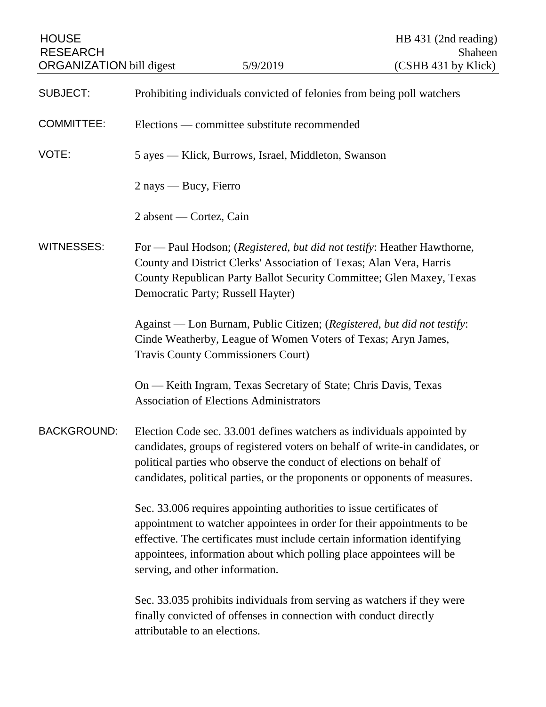| <b>HOUSE</b><br><b>RESEARCH</b><br><b>ORGANIZATION bill digest</b> |                                                                                                                                                                                                                                                                                                                                        | 5/9/2019                                                                                                                                     | HB 431 (2nd reading)<br>Shaheen<br>(CSHB 431 by Klick) |
|--------------------------------------------------------------------|----------------------------------------------------------------------------------------------------------------------------------------------------------------------------------------------------------------------------------------------------------------------------------------------------------------------------------------|----------------------------------------------------------------------------------------------------------------------------------------------|--------------------------------------------------------|
|                                                                    |                                                                                                                                                                                                                                                                                                                                        |                                                                                                                                              |                                                        |
| <b>SUBJECT:</b>                                                    | Prohibiting individuals convicted of felonies from being poll watchers                                                                                                                                                                                                                                                                 |                                                                                                                                              |                                                        |
| <b>COMMITTEE:</b>                                                  | Elections — committee substitute recommended                                                                                                                                                                                                                                                                                           |                                                                                                                                              |                                                        |
| VOTE:                                                              | 5 ayes — Klick, Burrows, Israel, Middleton, Swanson                                                                                                                                                                                                                                                                                    |                                                                                                                                              |                                                        |
|                                                                    | $2$ nays — Bucy, Fierro                                                                                                                                                                                                                                                                                                                |                                                                                                                                              |                                                        |
|                                                                    | 2 absent — Cortez, Cain                                                                                                                                                                                                                                                                                                                |                                                                                                                                              |                                                        |
| <b>WITNESSES:</b>                                                  | For — Paul Hodson; (Registered, but did not testify: Heather Hawthorne,<br>County and District Clerks' Association of Texas; Alan Vera, Harris<br>County Republican Party Ballot Security Committee; Glen Maxey, Texas<br>Democratic Party; Russell Hayter)                                                                            |                                                                                                                                              |                                                        |
|                                                                    | Against — Lon Burnam, Public Citizen; (Registered, but did not testify:<br>Cinde Weatherby, League of Women Voters of Texas; Aryn James,<br><b>Travis County Commissioners Court)</b>                                                                                                                                                  |                                                                                                                                              |                                                        |
|                                                                    |                                                                                                                                                                                                                                                                                                                                        | On — Keith Ingram, Texas Secretary of State; Chris Davis, Texas<br><b>Association of Elections Administrators</b>                            |                                                        |
| <b>BACKGROUND:</b>                                                 | Election Code sec. 33.001 defines watchers as individuals appointed by<br>candidates, groups of registered voters on behalf of write-in candidates, or<br>political parties who observe the conduct of elections on behalf of<br>candidates, political parties, or the proponents or opponents of measures.                            |                                                                                                                                              |                                                        |
|                                                                    | Sec. 33.006 requires appointing authorities to issue certificates of<br>appointment to watcher appointees in order for their appointments to be<br>effective. The certificates must include certain information identifying<br>appointees, information about which polling place appointees will be<br>serving, and other information. |                                                                                                                                              |                                                        |
|                                                                    | attributable to an elections.                                                                                                                                                                                                                                                                                                          | Sec. 33.035 prohibits individuals from serving as watchers if they were<br>finally convicted of offenses in connection with conduct directly |                                                        |